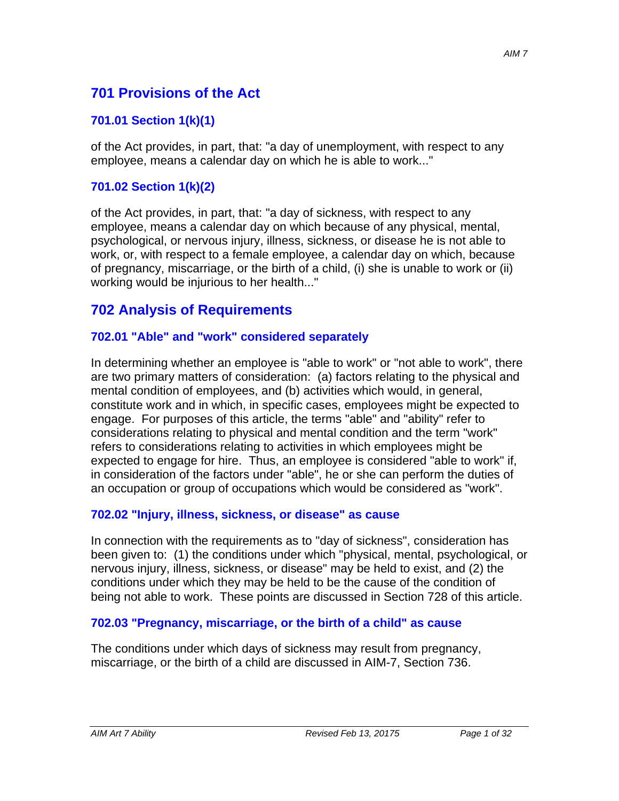# **701 Provisions of the Act**

### **701.01 Section 1(k)(1)**

of the Act provides, in part, that: "a day of unemployment, with respect to any employee, means a calendar day on which he is able to work..."

#### **701.02 Section 1(k)(2)**

of the Act provides, in part, that: "a day of sickness, with respect to any employee, means a calendar day on which because of any physical, mental, psychological, or nervous injury, illness, sickness, or disease he is not able to work, or, with respect to a female employee, a calendar day on which, because of pregnancy, miscarriage, or the birth of a child, (i) she is unable to work or (ii) working would be injurious to her health..."

# **702 Analysis of Requirements**

#### **702.01 "Able" and "work" considered separately**

In determining whether an employee is "able to work" or "not able to work", there are two primary matters of consideration: (a) factors relating to the physical and mental condition of employees, and (b) activities which would, in general, constitute work and in which, in specific cases, employees might be expected to engage. For purposes of this article, the terms "able" and "ability" refer to considerations relating to physical and mental condition and the term "work" refers to considerations relating to activities in which employees might be expected to engage for hire. Thus, an employee is considered "able to work" if, in consideration of the factors under "able", he or she can perform the duties of an occupation or group of occupations which would be considered as "work".

#### **702.02 "Injury, illness, sickness, or disease" as cause**

In connection with the requirements as to "day of sickness", consideration has been given to: (1) the conditions under which "physical, mental, psychological, or nervous injury, illness, sickness, or disease" may be held to exist, and (2) the conditions under which they may be held to be the cause of the condition of being not able to work. These points are discussed in Section 728 of this article.

#### **702.03 "Pregnancy, miscarriage, or the birth of a child" as cause**

The conditions under which days of sickness may result from pregnancy, miscarriage, or the birth of a child are discussed in AIM-7, Section 736.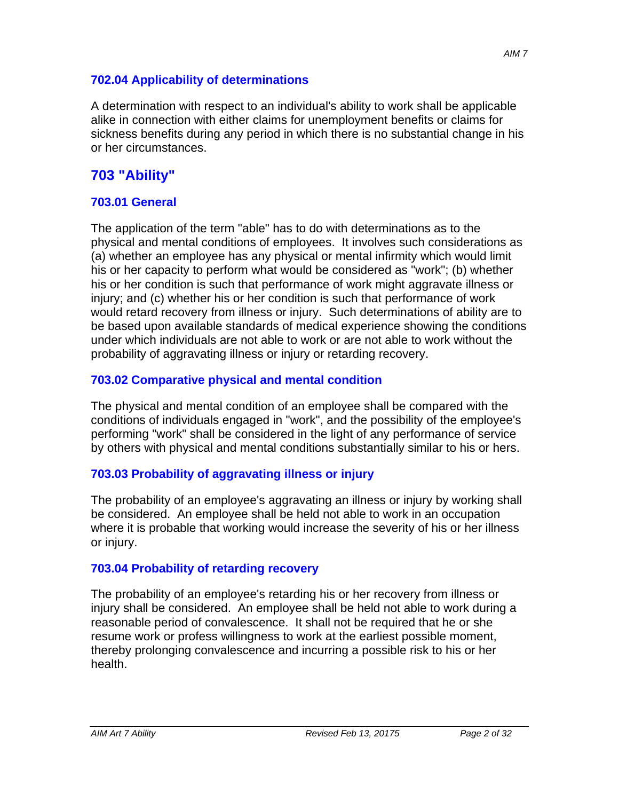#### **702.04 Applicability of determinations**

A determination with respect to an individual's ability to work shall be applicable alike in connection with either claims for unemployment benefits or claims for sickness benefits during any period in which there is no substantial change in his or her circumstances.

# **703 "Ability"**

#### **703.01 General**

The application of the term "able" has to do with determinations as to the physical and mental conditions of employees. It involves such considerations as (a) whether an employee has any physical or mental infirmity which would limit his or her capacity to perform what would be considered as "work"; (b) whether his or her condition is such that performance of work might aggravate illness or injury; and (c) whether his or her condition is such that performance of work would retard recovery from illness or injury. Such determinations of ability are to be based upon available standards of medical experience showing the conditions under which individuals are not able to work or are not able to work without the probability of aggravating illness or injury or retarding recovery.

#### **703.02 Comparative physical and mental condition**

The physical and mental condition of an employee shall be compared with the conditions of individuals engaged in "work", and the possibility of the employee's performing "work" shall be considered in the light of any performance of service by others with physical and mental conditions substantially similar to his or hers.

### **703.03 Probability of aggravating illness or injury**

The probability of an employee's aggravating an illness or injury by working shall be considered. An employee shall be held not able to work in an occupation where it is probable that working would increase the severity of his or her illness or injury.

#### **703.04 Probability of retarding recovery**

The probability of an employee's retarding his or her recovery from illness or injury shall be considered. An employee shall be held not able to work during a reasonable period of convalescence. It shall not be required that he or she resume work or profess willingness to work at the earliest possible moment, thereby prolonging convalescence and incurring a possible risk to his or her health.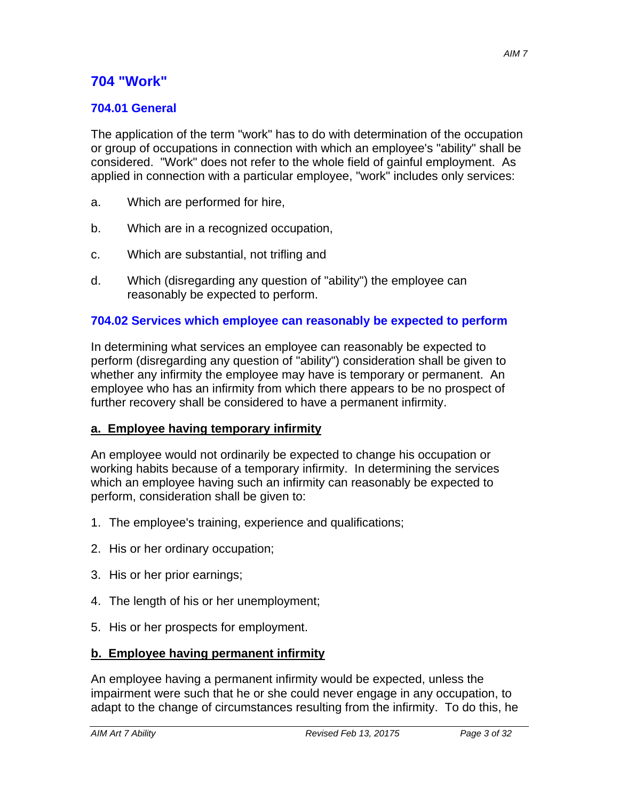# **704 "Work"**

### **704.01 General**

The application of the term "work" has to do with determination of the occupation or group of occupations in connection with which an employee's "ability" shall be considered. "Work" does not refer to the whole field of gainful employment. As applied in connection with a particular employee, "work" includes only services:

- a. Which are performed for hire,
- b. Which are in a recognized occupation,
- c. Which are substantial, not trifling and
- d. Which (disregarding any question of "ability") the employee can reasonably be expected to perform.

#### **704.02 Services which employee can reasonably be expected to perform**

In determining what services an employee can reasonably be expected to perform (disregarding any question of "ability") consideration shall be given to whether any infirmity the employee may have is temporary or permanent. An employee who has an infirmity from which there appears to be no prospect of further recovery shall be considered to have a permanent infirmity.

#### **a. Employee having temporary infirmity**

An employee would not ordinarily be expected to change his occupation or working habits because of a temporary infirmity. In determining the services which an employee having such an infirmity can reasonably be expected to perform, consideration shall be given to:

- 1. The employee's training, experience and qualifications;
- 2. His or her ordinary occupation;
- 3. His or her prior earnings;
- 4. The length of his or her unemployment;
- 5. His or her prospects for employment.

#### **b. Employee having permanent infirmity**

An employee having a permanent infirmity would be expected, unless the impairment were such that he or she could never engage in any occupation, to adapt to the change of circumstances resulting from the infirmity. To do this, he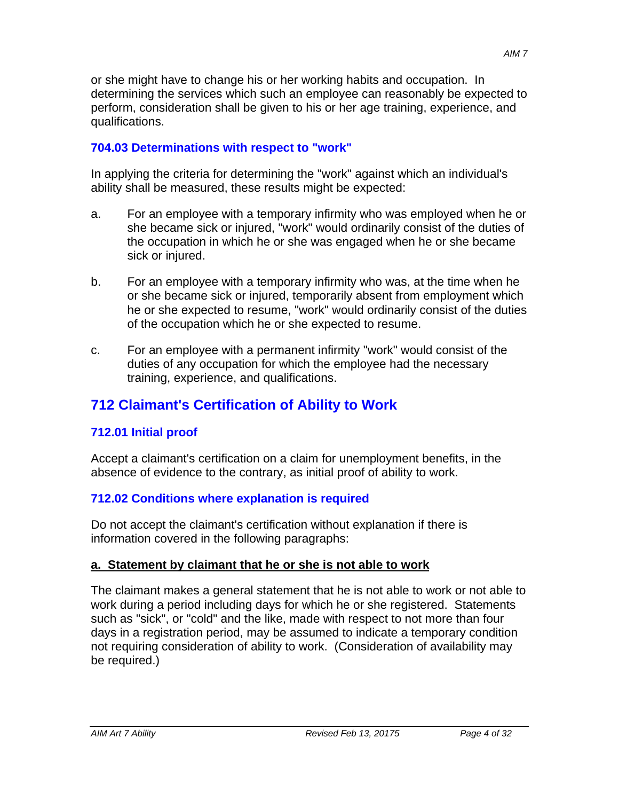or she might have to change his or her working habits and occupation. In determining the services which such an employee can reasonably be expected to perform, consideration shall be given to his or her age training, experience, and qualifications.

### **704.03 Determinations with respect to "work"**

In applying the criteria for determining the "work" against which an individual's ability shall be measured, these results might be expected:

- a. For an employee with a temporary infirmity who was employed when he or she became sick or injured, "work" would ordinarily consist of the duties of the occupation in which he or she was engaged when he or she became sick or injured.
- b. For an employee with a temporary infirmity who was, at the time when he or she became sick or injured, temporarily absent from employment which he or she expected to resume, "work" would ordinarily consist of the duties of the occupation which he or she expected to resume.
- c. For an employee with a permanent infirmity "work" would consist of the duties of any occupation for which the employee had the necessary training, experience, and qualifications.

# **712 Claimant's Certification of Ability to Work**

# **712.01 Initial proof**

Accept a claimant's certification on a claim for unemployment benefits, in the absence of evidence to the contrary, as initial proof of ability to work.

# **712.02 Conditions where explanation is required**

Do not accept the claimant's certification without explanation if there is information covered in the following paragraphs:

### **a. Statement by claimant that he or she is not able to work**

The claimant makes a general statement that he is not able to work or not able to work during a period including days for which he or she registered. Statements such as "sick", or "cold" and the like, made with respect to not more than four days in a registration period, may be assumed to indicate a temporary condition not requiring consideration of ability to work. (Consideration of availability may be required.)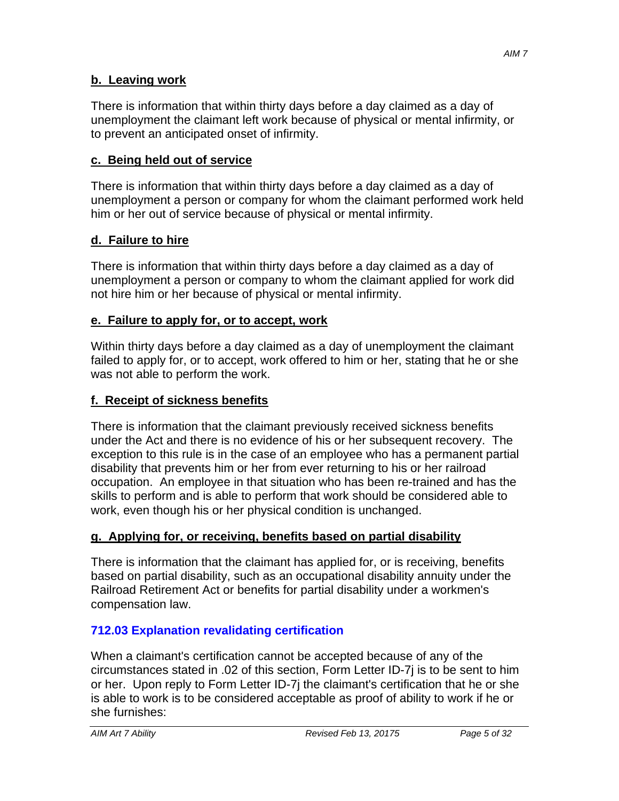There is information that within thirty days before a day claimed as a day of unemployment the claimant left work because of physical or mental infirmity, or to prevent an anticipated onset of infirmity.

# **c. Being held out of service**

There is information that within thirty days before a day claimed as a day of unemployment a person or company for whom the claimant performed work held him or her out of service because of physical or mental infirmity.

# **d. Failure to hire**

There is information that within thirty days before a day claimed as a day of unemployment a person or company to whom the claimant applied for work did not hire him or her because of physical or mental infirmity.

# **e. Failure to apply for, or to accept, work**

Within thirty days before a day claimed as a day of unemployment the claimant failed to apply for, or to accept, work offered to him or her, stating that he or she was not able to perform the work.

# **f. Receipt of sickness benefits**

There is information that the claimant previously received sickness benefits under the Act and there is no evidence of his or her subsequent recovery. The exception to this rule is in the case of an employee who has a permanent partial disability that prevents him or her from ever returning to his or her railroad occupation. An employee in that situation who has been re-trained and has the skills to perform and is able to perform that work should be considered able to work, even though his or her physical condition is unchanged.

# **g. Applying for, or receiving, benefits based on partial disability**

There is information that the claimant has applied for, or is receiving, benefits based on partial disability, such as an occupational disability annuity under the Railroad Retirement Act or benefits for partial disability under a workmen's compensation law.

# **712.03 Explanation revalidating certification**

When a claimant's certification cannot be accepted because of any of the circumstances stated in .02 of this section, Form Letter ID-7j is to be sent to him or her. Upon reply to Form Letter ID-7j the claimant's certification that he or she is able to work is to be considered acceptable as proof of ability to work if he or she furnishes: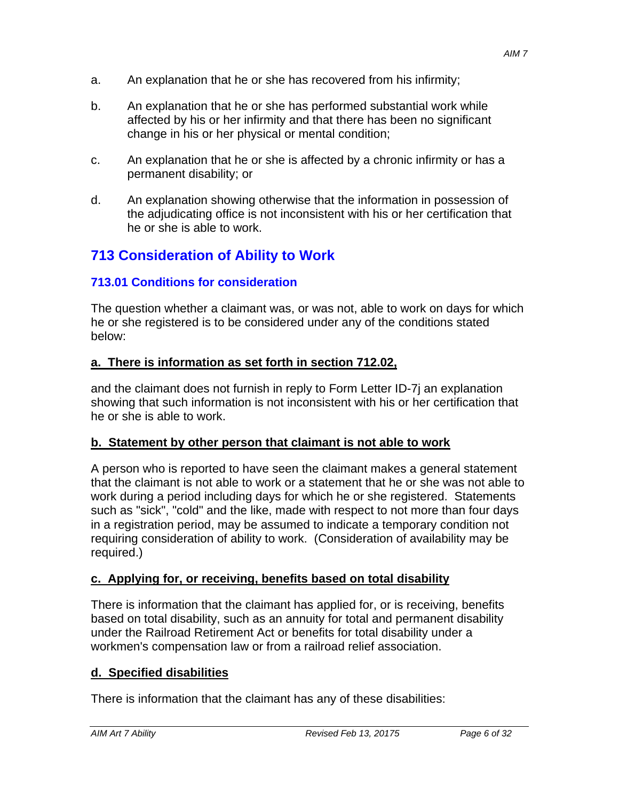- a. An explanation that he or she has recovered from his infirmity;
- b. An explanation that he or she has performed substantial work while affected by his or her infirmity and that there has been no significant change in his or her physical or mental condition;
- c. An explanation that he or she is affected by a chronic infirmity or has a permanent disability; or
- d. An explanation showing otherwise that the information in possession of the adjudicating office is not inconsistent with his or her certification that he or she is able to work.

# **713 Consideration of Ability to Work**

#### **713.01 Conditions for consideration**

The question whether a claimant was, or was not, able to work on days for which he or she registered is to be considered under any of the conditions stated below:

#### **a. There is information as set forth in section 712.02,**

and the claimant does not furnish in reply to Form Letter ID-7j an explanation showing that such information is not inconsistent with his or her certification that he or she is able to work.

#### **b. Statement by other person that claimant is not able to work**

A person who is reported to have seen the claimant makes a general statement that the claimant is not able to work or a statement that he or she was not able to work during a period including days for which he or she registered. Statements such as "sick", "cold" and the like, made with respect to not more than four days in a registration period, may be assumed to indicate a temporary condition not requiring consideration of ability to work. (Consideration of availability may be required.)

#### **c. Applying for, or receiving, benefits based on total disability**

There is information that the claimant has applied for, or is receiving, benefits based on total disability, such as an annuity for total and permanent disability under the Railroad Retirement Act or benefits for total disability under a workmen's compensation law or from a railroad relief association.

#### **d. Specified disabilities**

There is information that the claimant has any of these disabilities: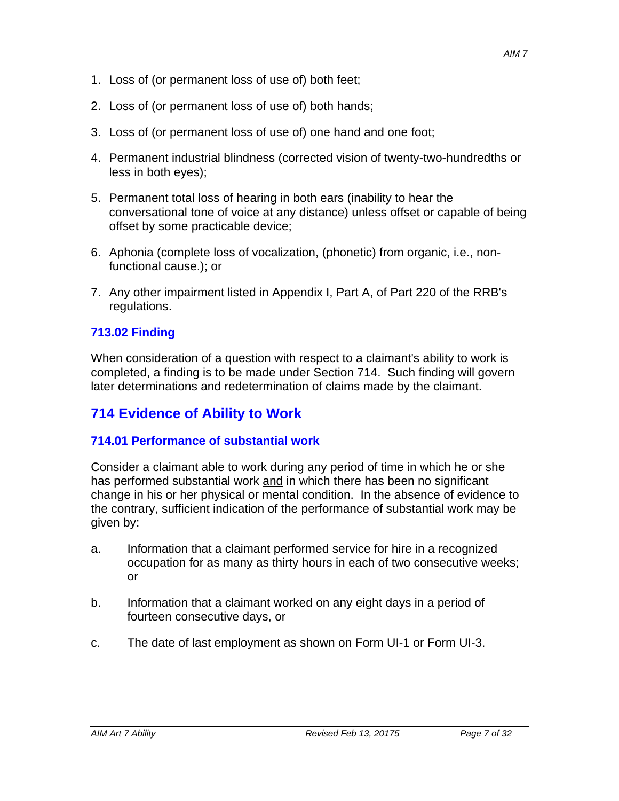- 1. Loss of (or permanent loss of use of) both feet;
- 2. Loss of (or permanent loss of use of) both hands;
- 3. Loss of (or permanent loss of use of) one hand and one foot;
- 4. Permanent industrial blindness (corrected vision of twenty-two-hundredths or less in both eyes);
- 5. Permanent total loss of hearing in both ears (inability to hear the conversational tone of voice at any distance) unless offset or capable of being offset by some practicable device;
- 6. Aphonia (complete loss of vocalization, (phonetic) from organic, i.e., nonfunctional cause.); or
- 7. Any other impairment listed in Appendix I, Part A, of Part 220 of the RRB's regulations.

### **713.02 Finding**

When consideration of a question with respect to a claimant's ability to work is completed, a finding is to be made under Section 714. Such finding will govern later determinations and redetermination of claims made by the claimant.

# **714 Evidence of Ability to Work**

#### **714.01 Performance of substantial work**

Consider a claimant able to work during any period of time in which he or she has performed substantial work and in which there has been no significant change in his or her physical or mental condition. In the absence of evidence to the contrary, sufficient indication of the performance of substantial work may be given by:

- a. Information that a claimant performed service for hire in a recognized occupation for as many as thirty hours in each of two consecutive weeks; or
- b. Information that a claimant worked on any eight days in a period of fourteen consecutive days, or
- c. The date of last employment as shown on Form UI-1 or Form UI-3.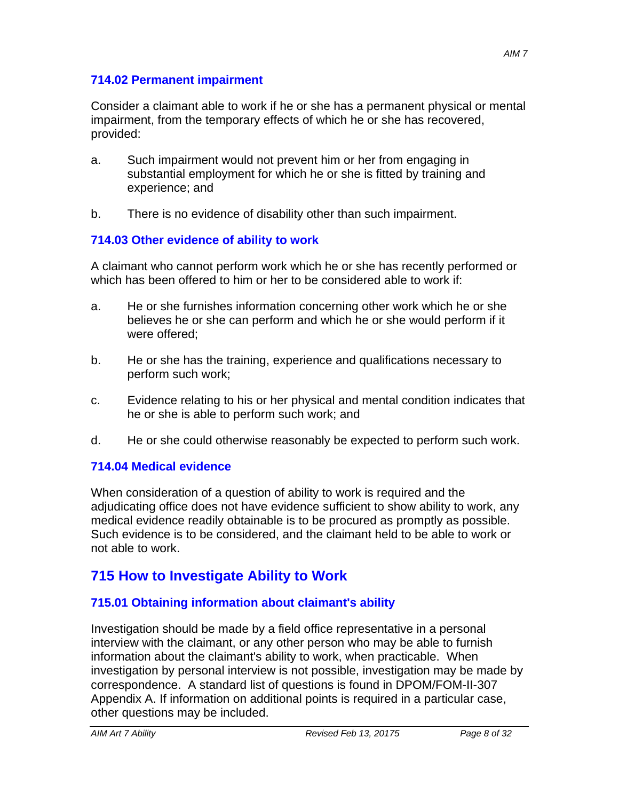Consider a claimant able to work if he or she has a permanent physical or mental impairment, from the temporary effects of which he or she has recovered, provided:

- a. Such impairment would not prevent him or her from engaging in substantial employment for which he or she is fitted by training and experience; and
- b. There is no evidence of disability other than such impairment.

# **714.03 Other evidence of ability to work**

A claimant who cannot perform work which he or she has recently performed or which has been offered to him or her to be considered able to work if:

- a. He or she furnishes information concerning other work which he or she believes he or she can perform and which he or she would perform if it were offered;
- b. He or she has the training, experience and qualifications necessary to perform such work;
- c. Evidence relating to his or her physical and mental condition indicates that he or she is able to perform such work; and
- d. He or she could otherwise reasonably be expected to perform such work.

# **714.04 Medical evidence**

When consideration of a question of ability to work is required and the adjudicating office does not have evidence sufficient to show ability to work, any medical evidence readily obtainable is to be procured as promptly as possible. Such evidence is to be considered, and the claimant held to be able to work or not able to work.

# **715 How to Investigate Ability to Work**

# **715.01 Obtaining information about claimant's ability**

Investigation should be made by a field office representative in a personal interview with the claimant, or any other person who may be able to furnish information about the claimant's ability to work, when practicable. When investigation by personal interview is not possible, investigation may be made by correspondence. A standard list of questions is found in DPOM/FOM-II-307 Appendix A. If information on additional points is required in a particular case, other questions may be included.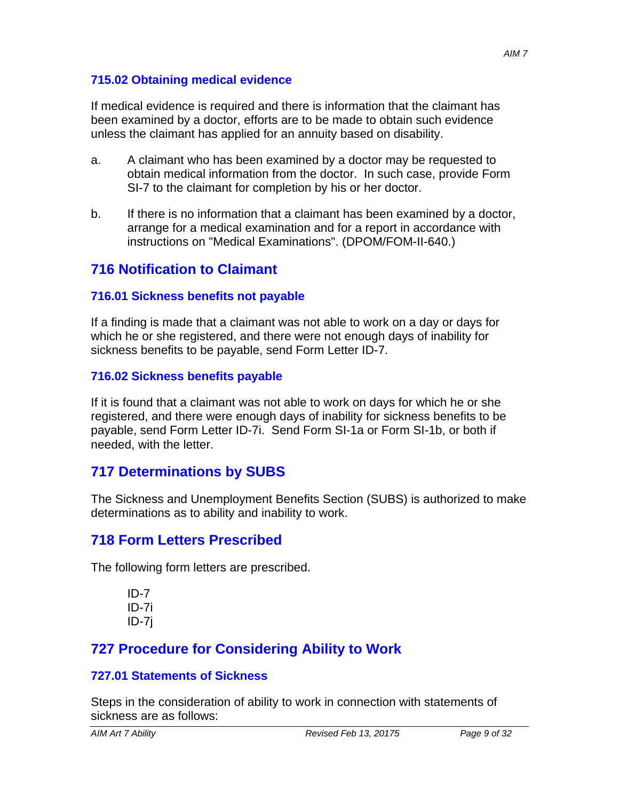### **715.02 Obtaining medical evidence**

If medical evidence is required and there is information that the claimant has been examined by a doctor, efforts are to be made to obtain such evidence unless the claimant has applied for an annuity based on disability.

- a. A claimant who has been examined by a doctor may be requested to obtain medical information from the doctor. In such case, provide Form SI-7 to the claimant for completion by his or her doctor.
- b. If there is no information that a claimant has been examined by a doctor, arrange for a medical examination and for a report in accordance with instructions on "Medical Examinations". (DPOM/FOM-II-640.)

# **716 Notification to Claimant**

# **716.01 Sickness benefits not payable**

If a finding is made that a claimant was not able to work on a day or days for which he or she registered, and there were not enough days of inability for sickness benefits to be payable, send Form Letter ID-7.

## **716.02 Sickness benefits payable**

If it is found that a claimant was not able to work on days for which he or she registered, and there were enough days of inability for sickness benefits to be payable, send Form Letter ID-7i. Send Form SI-1a or Form SI-1b, or both if needed, with the letter.

# **717 Determinations by SUBS**

The Sickness and Unemployment Benefits Section (SUBS) is authorized to make determinations as to ability and inability to work.

# **718 Form Letters Prescribed**

The following form letters are prescribed.

```
ID-7 
ID-7i 
ID-7j
```
# **727 Procedure for Considering Ability to Work**

# **727.01 Statements of Sickness**

Steps in the consideration of ability to work in connection with statements of sickness are as follows: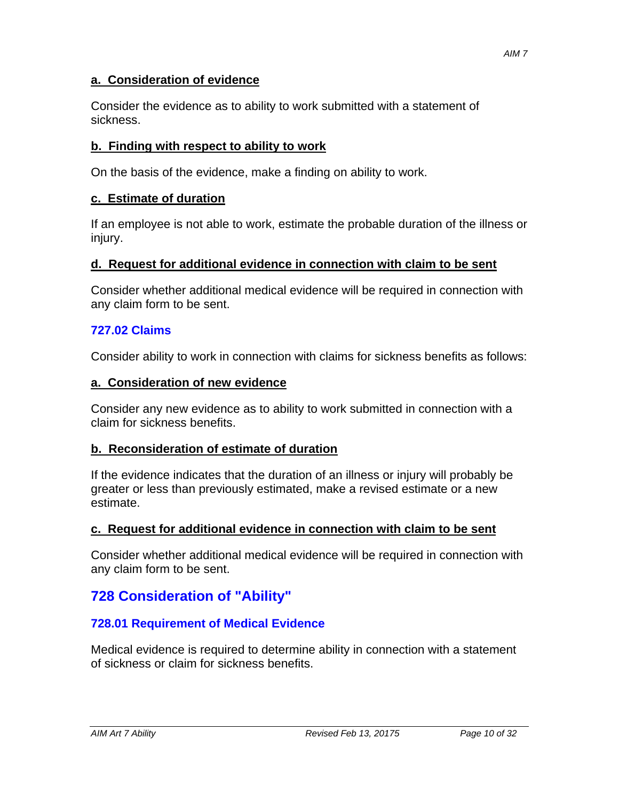#### **a. Consideration of evidence**

Consider the evidence as to ability to work submitted with a statement of sickness.

### **b. Finding with respect to ability to work**

On the basis of the evidence, make a finding on ability to work.

### **c. Estimate of duration**

If an employee is not able to work, estimate the probable duration of the illness or injury.

#### **d. Request for additional evidence in connection with claim to be sent**

Consider whether additional medical evidence will be required in connection with any claim form to be sent.

### **727.02 Claims**

Consider ability to work in connection with claims for sickness benefits as follows:

#### **a. Consideration of new evidence**

Consider any new evidence as to ability to work submitted in connection with a claim for sickness benefits.

#### **b. Reconsideration of estimate of duration**

If the evidence indicates that the duration of an illness or injury will probably be greater or less than previously estimated, make a revised estimate or a new estimate.

#### **c. Request for additional evidence in connection with claim to be sent**

Consider whether additional medical evidence will be required in connection with any claim form to be sent.

# **728 Consideration of "Ability"**

### **728.01 Requirement of Medical Evidence**

Medical evidence is required to determine ability in connection with a statement of sickness or claim for sickness benefits.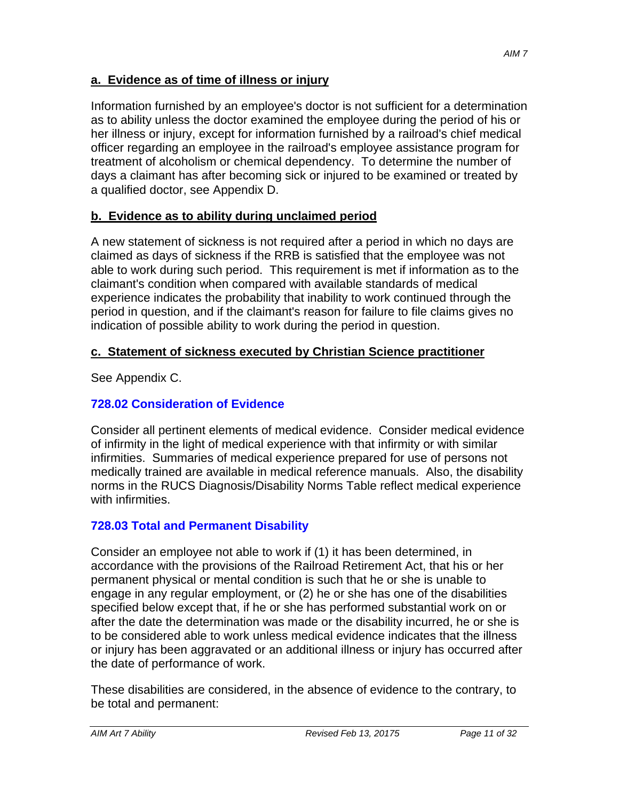### **a. Evidence as of time of illness or injury**

Information furnished by an employee's doctor is not sufficient for a determination as to ability unless the doctor examined the employee during the period of his or her illness or injury, except for information furnished by a railroad's chief medical officer regarding an employee in the railroad's employee assistance program for treatment of alcoholism or chemical dependency. To determine the number of days a claimant has after becoming sick or injured to be examined or treated by a qualified doctor, see Appendix D.

### **b. Evidence as to ability during unclaimed period**

A new statement of sickness is not required after a period in which no days are claimed as days of sickness if the RRB is satisfied that the employee was not able to work during such period. This requirement is met if information as to the claimant's condition when compared with available standards of medical experience indicates the probability that inability to work continued through the period in question, and if the claimant's reason for failure to file claims gives no indication of possible ability to work during the period in question.

### **c. Statement of sickness executed by Christian Science practitioner**

See Appendix C.

### **728.02 Consideration of Evidence**

Consider all pertinent elements of medical evidence. Consider medical evidence of infirmity in the light of medical experience with that infirmity or with similar infirmities. Summaries of medical experience prepared for use of persons not medically trained are available in medical reference manuals. Also, the disability norms in the RUCS Diagnosis/Disability Norms Table reflect medical experience with infirmities.

### **728.03 Total and Permanent Disability**

Consider an employee not able to work if (1) it has been determined, in accordance with the provisions of the Railroad Retirement Act, that his or her permanent physical or mental condition is such that he or she is unable to engage in any regular employment, or (2) he or she has one of the disabilities specified below except that, if he or she has performed substantial work on or after the date the determination was made or the disability incurred, he or she is to be considered able to work unless medical evidence indicates that the illness or injury has been aggravated or an additional illness or injury has occurred after the date of performance of work.

These disabilities are considered, in the absence of evidence to the contrary, to be total and permanent: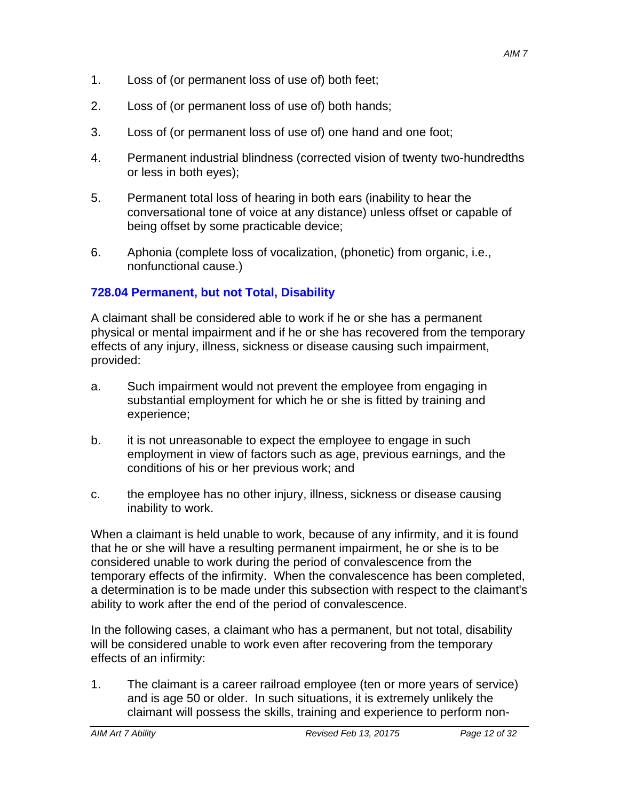- 1. Loss of (or permanent loss of use of) both feet;
- 2. Loss of (or permanent loss of use of) both hands;
- 3. Loss of (or permanent loss of use of) one hand and one foot;
- 4. Permanent industrial blindness (corrected vision of twenty two-hundredths or less in both eyes);
- 5. Permanent total loss of hearing in both ears (inability to hear the conversational tone of voice at any distance) unless offset or capable of being offset by some practicable device;
- 6. Aphonia (complete loss of vocalization, (phonetic) from organic, i.e., nonfunctional cause.)

## **728.04 Permanent, but not Total, Disability**

A claimant shall be considered able to work if he or she has a permanent physical or mental impairment and if he or she has recovered from the temporary effects of any injury, illness, sickness or disease causing such impairment, provided:

- a. Such impairment would not prevent the employee from engaging in substantial employment for which he or she is fitted by training and experience;
- b. it is not unreasonable to expect the employee to engage in such employment in view of factors such as age, previous earnings, and the conditions of his or her previous work; and
- c. the employee has no other injury, illness, sickness or disease causing inability to work.

When a claimant is held unable to work, because of any infirmity, and it is found that he or she will have a resulting permanent impairment, he or she is to be considered unable to work during the period of convalescence from the temporary effects of the infirmity. When the convalescence has been completed, a determination is to be made under this subsection with respect to the claimant's ability to work after the end of the period of convalescence.

In the following cases, a claimant who has a permanent, but not total, disability will be considered unable to work even after recovering from the temporary effects of an infirmity:

1. The claimant is a career railroad employee (ten or more years of service) and is age 50 or older. In such situations, it is extremely unlikely the claimant will possess the skills, training and experience to perform non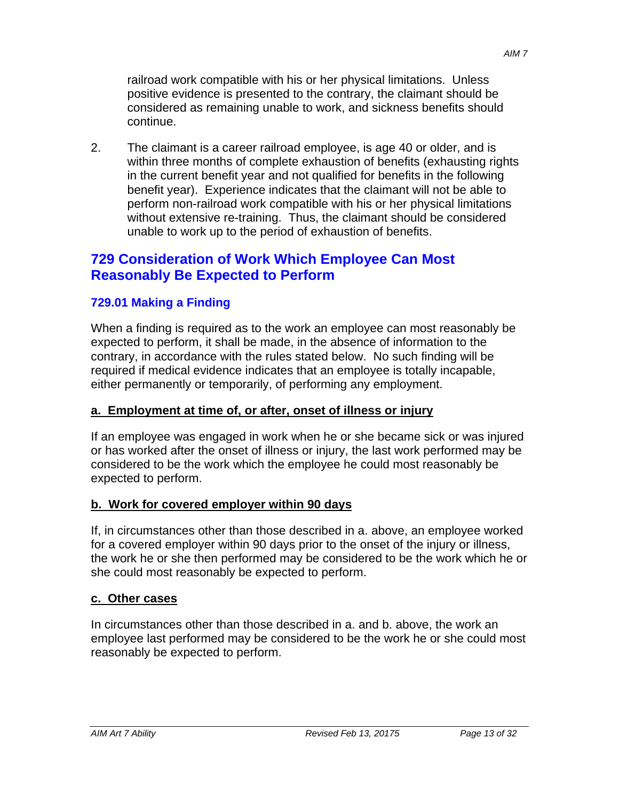railroad work compatible with his or her physical limitations. Unless positive evidence is presented to the contrary, the claimant should be considered as remaining unable to work, and sickness benefits should continue.

2. The claimant is a career railroad employee, is age 40 or older, and is within three months of complete exhaustion of benefits (exhausting rights in the current benefit year and not qualified for benefits in the following benefit year). Experience indicates that the claimant will not be able to perform non-railroad work compatible with his or her physical limitations without extensive re-training. Thus, the claimant should be considered unable to work up to the period of exhaustion of benefits.

# **729 Consideration of Work Which Employee Can Most Reasonably Be Expected to Perform**

### **729.01 Making a Finding**

When a finding is required as to the work an employee can most reasonably be expected to perform, it shall be made, in the absence of information to the contrary, in accordance with the rules stated below. No such finding will be required if medical evidence indicates that an employee is totally incapable, either permanently or temporarily, of performing any employment.

#### **a. Employment at time of, or after, onset of illness or injury**

If an employee was engaged in work when he or she became sick or was injured or has worked after the onset of illness or injury, the last work performed may be considered to be the work which the employee he could most reasonably be expected to perform.

### **b. Work for covered employer within 90 days**

If, in circumstances other than those described in a. above, an employee worked for a covered employer within 90 days prior to the onset of the injury or illness, the work he or she then performed may be considered to be the work which he or she could most reasonably be expected to perform.

#### **c. Other cases**

In circumstances other than those described in a. and b. above, the work an employee last performed may be considered to be the work he or she could most reasonably be expected to perform.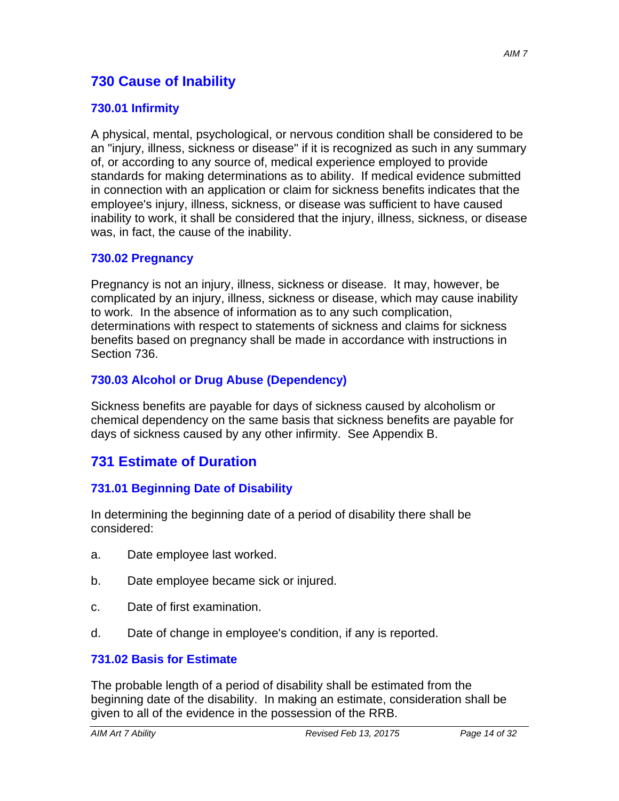# **730 Cause of Inability**

### **730.01 Infirmity**

A physical, mental, psychological, or nervous condition shall be considered to be an "injury, illness, sickness or disease" if it is recognized as such in any summary of, or according to any source of, medical experience employed to provide standards for making determinations as to ability. If medical evidence submitted in connection with an application or claim for sickness benefits indicates that the employee's injury, illness, sickness, or disease was sufficient to have caused inability to work, it shall be considered that the injury, illness, sickness, or disease was, in fact, the cause of the inability.

#### **730.02 Pregnancy**

Pregnancy is not an injury, illness, sickness or disease. It may, however, be complicated by an injury, illness, sickness or disease, which may cause inability to work. In the absence of information as to any such complication, determinations with respect to statements of sickness and claims for sickness benefits based on pregnancy shall be made in accordance with instructions in Section 736.

### **730.03 Alcohol or Drug Abuse (Dependency)**

Sickness benefits are payable for days of sickness caused by alcoholism or chemical dependency on the same basis that sickness benefits are payable for days of sickness caused by any other infirmity. See Appendix B.

# **731 Estimate of Duration**

### **731.01 Beginning Date of Disability**

In determining the beginning date of a period of disability there shall be considered:

- a. Date employee last worked.
- b. Date employee became sick or injured.
- c. Date of first examination.
- d. Date of change in employee's condition, if any is reported.

#### **731.02 Basis for Estimate**

The probable length of a period of disability shall be estimated from the beginning date of the disability. In making an estimate, consideration shall be given to all of the evidence in the possession of the RRB.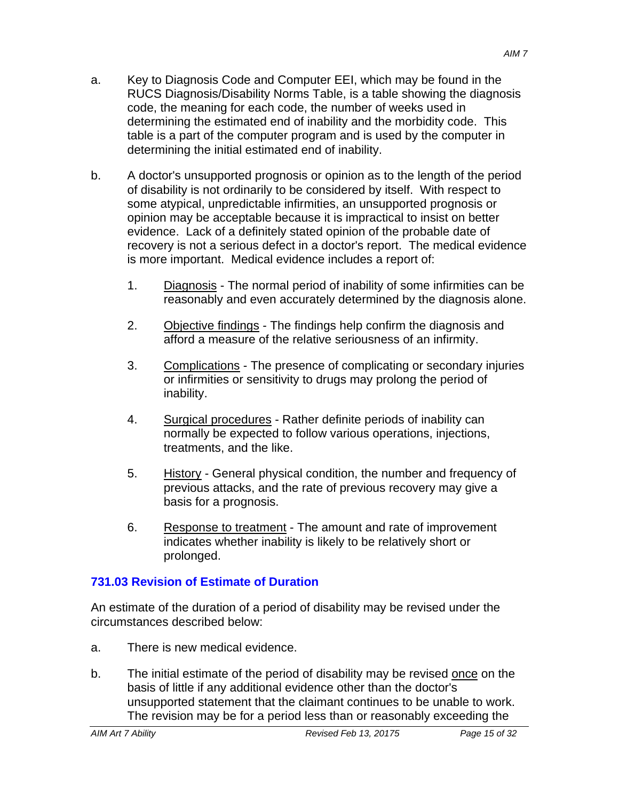- a. Key to Diagnosis Code and Computer EEI, which may be found in the RUCS Diagnosis/Disability Norms Table, is a table showing the diagnosis code, the meaning for each code, the number of weeks used in determining the estimated end of inability and the morbidity code. This table is a part of the computer program and is used by the computer in determining the initial estimated end of inability.
- b. A doctor's unsupported prognosis or opinion as to the length of the period of disability is not ordinarily to be considered by itself. With respect to some atypical, unpredictable infirmities, an unsupported prognosis or opinion may be acceptable because it is impractical to insist on better evidence. Lack of a definitely stated opinion of the probable date of recovery is not a serious defect in a doctor's report. The medical evidence is more important. Medical evidence includes a report of:
	- 1. Diagnosis The normal period of inability of some infirmities can be reasonably and even accurately determined by the diagnosis alone.
	- 2. Objective findings The findings help confirm the diagnosis and afford a measure of the relative seriousness of an infirmity.
	- 3. Complications The presence of complicating or secondary injuries or infirmities or sensitivity to drugs may prolong the period of inability.
	- 4. Surgical procedures Rather definite periods of inability can normally be expected to follow various operations, injections, treatments, and the like.
	- 5. History General physical condition, the number and frequency of previous attacks, and the rate of previous recovery may give a basis for a prognosis.
	- 6. Response to treatment The amount and rate of improvement indicates whether inability is likely to be relatively short or prolonged.

# **731.03 Revision of Estimate of Duration**

An estimate of the duration of a period of disability may be revised under the circumstances described below:

- a. There is new medical evidence.
- b. The initial estimate of the period of disability may be revised once on the basis of little if any additional evidence other than the doctor's unsupported statement that the claimant continues to be unable to work. The revision may be for a period less than or reasonably exceeding the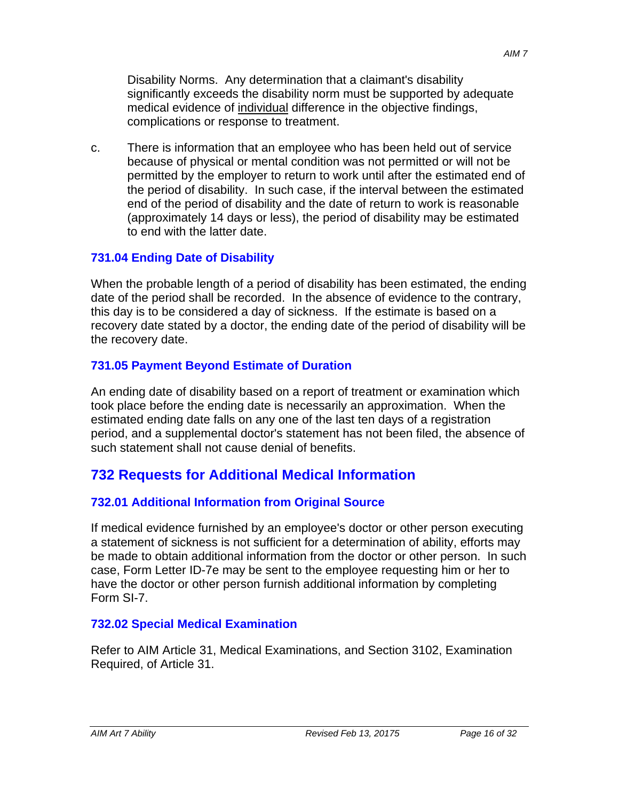Disability Norms. Any determination that a claimant's disability significantly exceeds the disability norm must be supported by adequate medical evidence of individual difference in the objective findings, complications or response to treatment.

c. There is information that an employee who has been held out of service because of physical or mental condition was not permitted or will not be permitted by the employer to return to work until after the estimated end of the period of disability. In such case, if the interval between the estimated end of the period of disability and the date of return to work is reasonable (approximately 14 days or less), the period of disability may be estimated to end with the latter date.

### **731.04 Ending Date of Disability**

When the probable length of a period of disability has been estimated, the ending date of the period shall be recorded. In the absence of evidence to the contrary, this day is to be considered a day of sickness. If the estimate is based on a recovery date stated by a doctor, the ending date of the period of disability will be the recovery date.

### **731.05 Payment Beyond Estimate of Duration**

An ending date of disability based on a report of treatment or examination which took place before the ending date is necessarily an approximation. When the estimated ending date falls on any one of the last ten days of a registration period, and a supplemental doctor's statement has not been filed, the absence of such statement shall not cause denial of benefits.

# **732 Requests for Additional Medical Information**

### **732.01 Additional Information from Original Source**

If medical evidence furnished by an employee's doctor or other person executing a statement of sickness is not sufficient for a determination of ability, efforts may be made to obtain additional information from the doctor or other person. In such case, Form Letter ID-7e may be sent to the employee requesting him or her to have the doctor or other person furnish additional information by completing Form SI-7.

### **732.02 Special Medical Examination**

Refer to AIM Article 31, Medical Examinations, and Section 3102, Examination Required, of Article 31.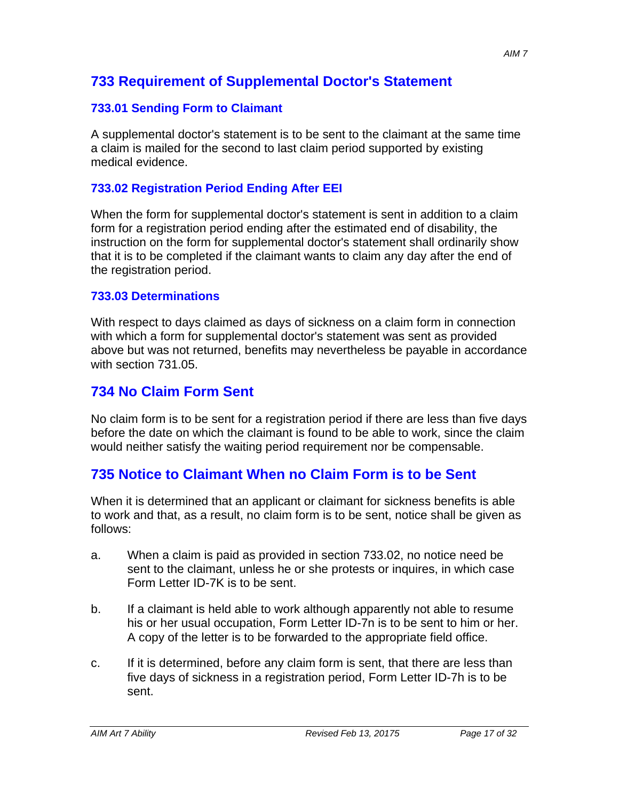# **733 Requirement of Supplemental Doctor's Statement**

## **733.01 Sending Form to Claimant**

A supplemental doctor's statement is to be sent to the claimant at the same time a claim is mailed for the second to last claim period supported by existing medical evidence.

### **733.02 Registration Period Ending After EEI**

When the form for supplemental doctor's statement is sent in addition to a claim form for a registration period ending after the estimated end of disability, the instruction on the form for supplemental doctor's statement shall ordinarily show that it is to be completed if the claimant wants to claim any day after the end of the registration period.

### **733.03 Determinations**

With respect to days claimed as days of sickness on a claim form in connection with which a form for supplemental doctor's statement was sent as provided above but was not returned, benefits may nevertheless be payable in accordance with section 731.05.

# **734 No Claim Form Sent**

No claim form is to be sent for a registration period if there are less than five days before the date on which the claimant is found to be able to work, since the claim would neither satisfy the waiting period requirement nor be compensable.

# **735 Notice to Claimant When no Claim Form is to be Sent**

When it is determined that an applicant or claimant for sickness benefits is able to work and that, as a result, no claim form is to be sent, notice shall be given as follows:

- a. When a claim is paid as provided in section 733.02, no notice need be sent to the claimant, unless he or she protests or inquires, in which case Form Letter ID-7K is to be sent.
- b. If a claimant is held able to work although apparently not able to resume his or her usual occupation, Form Letter ID-7n is to be sent to him or her. A copy of the letter is to be forwarded to the appropriate field office.
- c. If it is determined, before any claim form is sent, that there are less than five days of sickness in a registration period, Form Letter ID-7h is to be sent.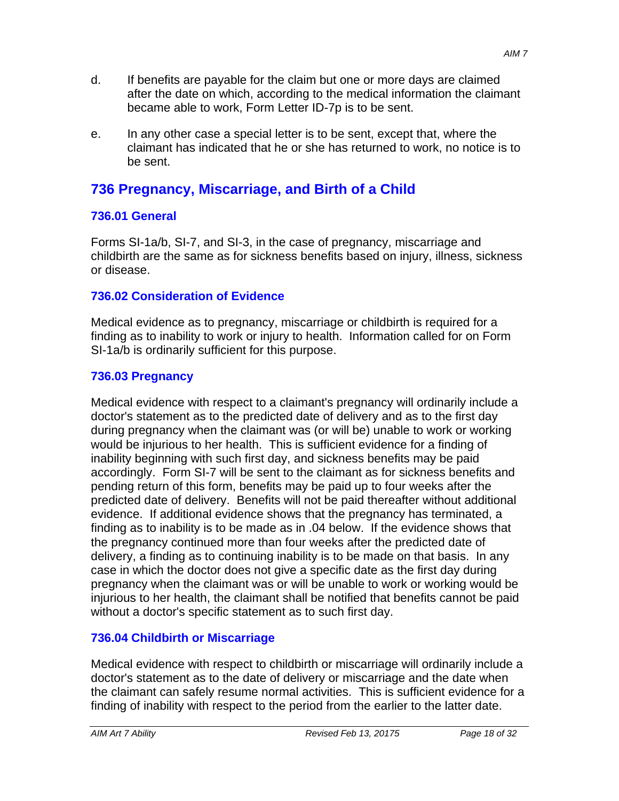- d. If benefits are payable for the claim but one or more days are claimed after the date on which, according to the medical information the claimant became able to work, Form Letter ID-7p is to be sent.
- e. In any other case a special letter is to be sent, except that, where the claimant has indicated that he or she has returned to work, no notice is to be sent.

# **736 Pregnancy, Miscarriage, and Birth of a Child**

## **736.01 General**

Forms SI-1a/b, SI-7, and SI-3, in the case of pregnancy, miscarriage and childbirth are the same as for sickness benefits based on injury, illness, sickness or disease.

# **736.02 Consideration of Evidence**

Medical evidence as to pregnancy, miscarriage or childbirth is required for a finding as to inability to work or injury to health. Information called for on Form SI-1a/b is ordinarily sufficient for this purpose.

## **736.03 Pregnancy**

Medical evidence with respect to a claimant's pregnancy will ordinarily include a doctor's statement as to the predicted date of delivery and as to the first day during pregnancy when the claimant was (or will be) unable to work or working would be injurious to her health. This is sufficient evidence for a finding of inability beginning with such first day, and sickness benefits may be paid accordingly. Form SI-7 will be sent to the claimant as for sickness benefits and pending return of this form, benefits may be paid up to four weeks after the predicted date of delivery. Benefits will not be paid thereafter without additional evidence. If additional evidence shows that the pregnancy has terminated, a finding as to inability is to be made as in .04 below. If the evidence shows that the pregnancy continued more than four weeks after the predicted date of delivery, a finding as to continuing inability is to be made on that basis. In any case in which the doctor does not give a specific date as the first day during pregnancy when the claimant was or will be unable to work or working would be injurious to her health, the claimant shall be notified that benefits cannot be paid without a doctor's specific statement as to such first day.

# **736.04 Childbirth or Miscarriage**

Medical evidence with respect to childbirth or miscarriage will ordinarily include a doctor's statement as to the date of delivery or miscarriage and the date when the claimant can safely resume normal activities. This is sufficient evidence for a finding of inability with respect to the period from the earlier to the latter date.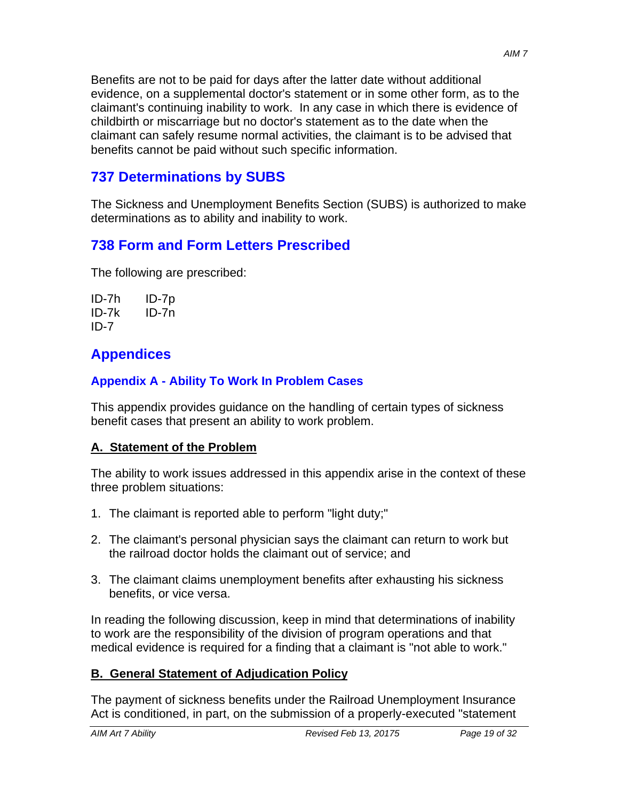Benefits are not to be paid for days after the latter date without additional evidence, on a supplemental doctor's statement or in some other form, as to the claimant's continuing inability to work. In any case in which there is evidence of childbirth or miscarriage but no doctor's statement as to the date when the claimant can safely resume normal activities, the claimant is to be advised that benefits cannot be paid without such specific information.

# **737 Determinations by SUBS**

The Sickness and Unemployment Benefits Section (SUBS) is authorized to make determinations as to ability and inability to work.

# **738 Form and Form Letters Prescribed**

The following are prescribed:

| ID-7h    | ID-7p |
|----------|-------|
| $ID-7k$  | ID-7n |
| $ID - 7$ |       |

# **Appendices**

# **Appendix A - Ability To Work In Problem Cases**

This appendix provides guidance on the handling of certain types of sickness benefit cases that present an ability to work problem.

# **A. Statement of the Problem**

The ability to work issues addressed in this appendix arise in the context of these three problem situations:

- 1. The claimant is reported able to perform "light duty;"
- 2. The claimant's personal physician says the claimant can return to work but the railroad doctor holds the claimant out of service; and
- 3. The claimant claims unemployment benefits after exhausting his sickness benefits, or vice versa.

In reading the following discussion, keep in mind that determinations of inability to work are the responsibility of the division of program operations and that medical evidence is required for a finding that a claimant is "not able to work."

# **B. General Statement of Adjudication Policy**

The payment of sickness benefits under the Railroad Unemployment Insurance Act is conditioned, in part, on the submission of a properly-executed "statement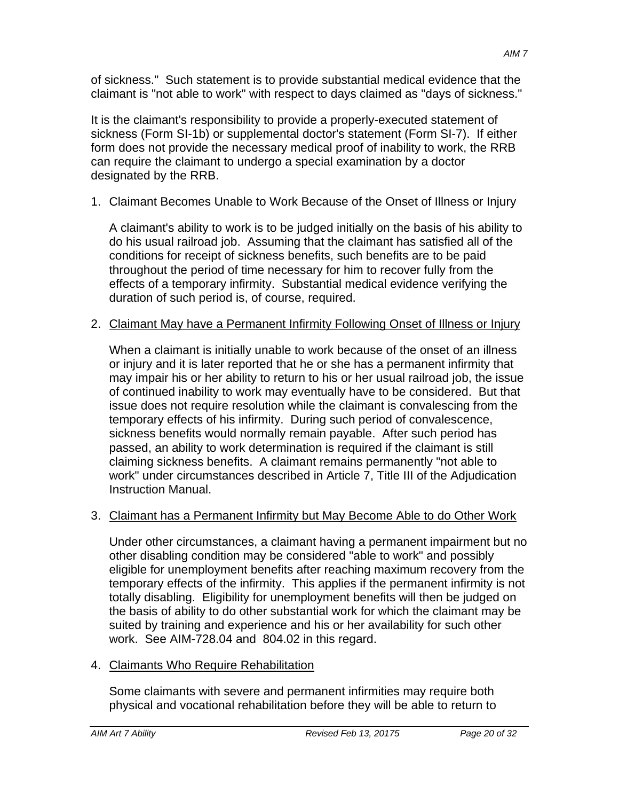of sickness." Such statement is to provide substantial medical evidence that the claimant is "not able to work" with respect to days claimed as "days of sickness."

It is the claimant's responsibility to provide a properly-executed statement of sickness (Form SI-1b) or supplemental doctor's statement (Form SI-7). If either form does not provide the necessary medical proof of inability to work, the RRB can require the claimant to undergo a special examination by a doctor designated by the RRB.

1. Claimant Becomes Unable to Work Because of the Onset of Illness or Injury

A claimant's ability to work is to be judged initially on the basis of his ability to do his usual railroad job. Assuming that the claimant has satisfied all of the conditions for receipt of sickness benefits, such benefits are to be paid throughout the period of time necessary for him to recover fully from the effects of a temporary infirmity. Substantial medical evidence verifying the duration of such period is, of course, required.

# 2. Claimant May have a Permanent Infirmity Following Onset of Illness or Injury

When a claimant is initially unable to work because of the onset of an illness or injury and it is later reported that he or she has a permanent infirmity that may impair his or her ability to return to his or her usual railroad job, the issue of continued inability to work may eventually have to be considered. But that issue does not require resolution while the claimant is convalescing from the temporary effects of his infirmity. During such period of convalescence, sickness benefits would normally remain payable. After such period has passed, an ability to work determination is required if the claimant is still claiming sickness benefits. A claimant remains permanently "not able to work" under circumstances described in Article 7, Title III of the Adjudication Instruction Manual.

# 3. Claimant has a Permanent Infirmity but May Become Able to do Other Work

Under other circumstances, a claimant having a permanent impairment but no other disabling condition may be considered "able to work" and possibly eligible for unemployment benefits after reaching maximum recovery from the temporary effects of the infirmity. This applies if the permanent infirmity is not totally disabling. Eligibility for unemployment benefits will then be judged on the basis of ability to do other substantial work for which the claimant may be suited by training and experience and his or her availability for such other work. See AIM-728.04 and 804.02 in this regard.

4. Claimants Who Require Rehabilitation

Some claimants with severe and permanent infirmities may require both physical and vocational rehabilitation before they will be able to return to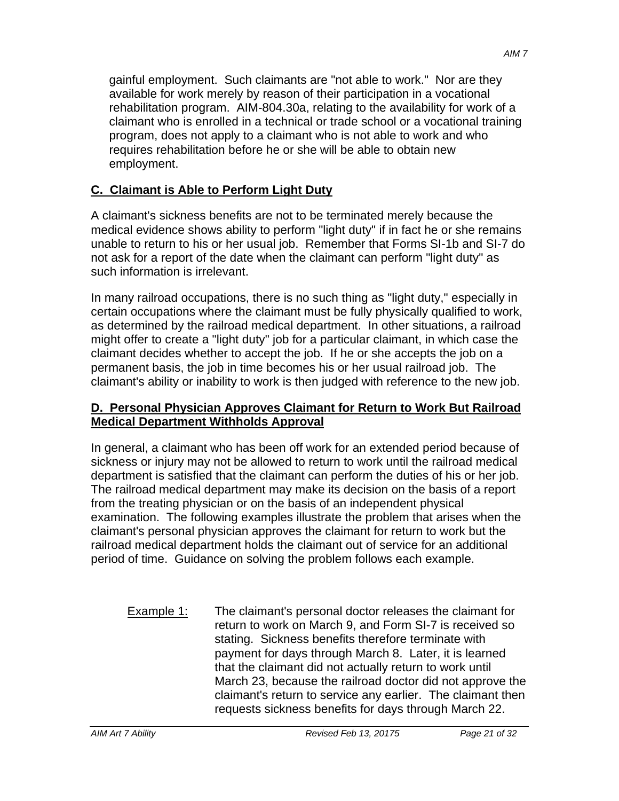gainful employment. Such claimants are "not able to work." Nor are they available for work merely by reason of their participation in a vocational rehabilitation program. AIM-804.30a, relating to the availability for work of a claimant who is enrolled in a technical or trade school or a vocational training program, does not apply to a claimant who is not able to work and who requires rehabilitation before he or she will be able to obtain new employment.

## **C. Claimant is Able to Perform Light Duty**

A claimant's sickness benefits are not to be terminated merely because the medical evidence shows ability to perform "light duty" if in fact he or she remains unable to return to his or her usual job. Remember that Forms SI-1b and SI-7 do not ask for a report of the date when the claimant can perform "light duty" as such information is irrelevant.

In many railroad occupations, there is no such thing as "light duty," especially in certain occupations where the claimant must be fully physically qualified to work, as determined by the railroad medical department. In other situations, a railroad might offer to create a "light duty" job for a particular claimant, in which case the claimant decides whether to accept the job. If he or she accepts the job on a permanent basis, the job in time becomes his or her usual railroad job. The claimant's ability or inability to work is then judged with reference to the new job.

### **D. Personal Physician Approves Claimant for Return to Work But Railroad Medical Department Withholds Approval**

In general, a claimant who has been off work for an extended period because of sickness or injury may not be allowed to return to work until the railroad medical department is satisfied that the claimant can perform the duties of his or her job. The railroad medical department may make its decision on the basis of a report from the treating physician or on the basis of an independent physical examination. The following examples illustrate the problem that arises when the claimant's personal physician approves the claimant for return to work but the railroad medical department holds the claimant out of service for an additional period of time. Guidance on solving the problem follows each example.

Example 1: The claimant's personal doctor releases the claimant for return to work on March 9, and Form SI-7 is received so stating. Sickness benefits therefore terminate with payment for days through March 8. Later, it is learned that the claimant did not actually return to work until March 23, because the railroad doctor did not approve the claimant's return to service any earlier. The claimant then requests sickness benefits for days through March 22.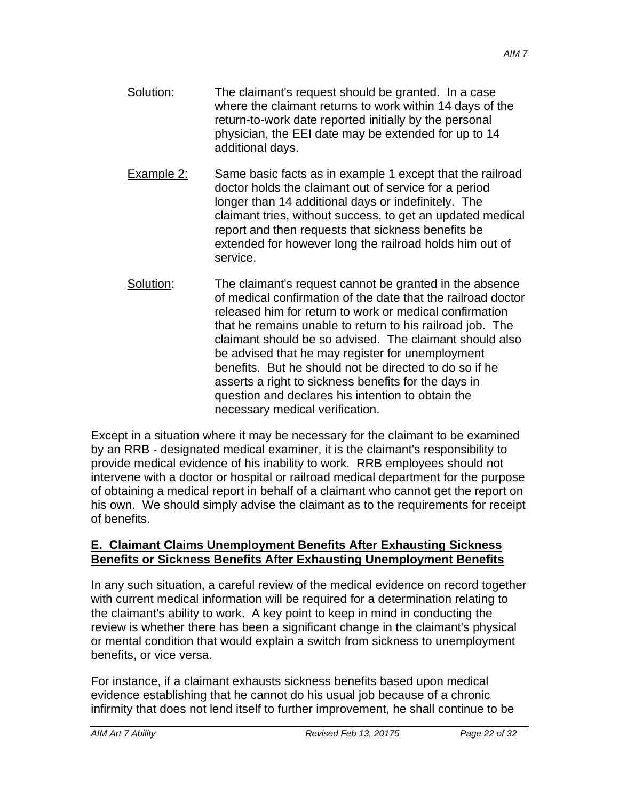- Solution: The claimant's request should be granted. In a case where the claimant returns to work within 14 days of the return-to-work date reported initially by the personal physician, the EEI date may be extended for up to 14 additional days.
- Example 2: Same basic facts as in example 1 except that the railroad doctor holds the claimant out of service for a period longer than 14 additional days or indefinitely. The claimant tries, without success, to get an updated medical report and then requests that sickness benefits be extended for however long the railroad holds him out of service.
- Solution: The claimant's request cannot be granted in the absence of medical confirmation of the date that the railroad doctor released him for return to work or medical confirmation that he remains unable to return to his railroad job. The claimant should be so advised. The claimant should also be advised that he may register for unemployment benefits. But he should not be directed to do so if he asserts a right to sickness benefits for the days in question and declares his intention to obtain the necessary medical verification.

Except in a situation where it may be necessary for the claimant to be examined by an RRB - designated medical examiner, it is the claimant's responsibility to provide medical evidence of his inability to work. RRB employees should not intervene with a doctor or hospital or railroad medical department for the purpose of obtaining a medical report in behalf of a claimant who cannot get the report on his own. We should simply advise the claimant as to the requirements for receipt of benefits.

#### **E. Claimant Claims Unemployment Benefits After Exhausting Sickness Benefits or Sickness Benefits After Exhausting Unemployment Benefits**

In any such situation, a careful review of the medical evidence on record together with current medical information will be required for a determination relating to the claimant's ability to work. A key point to keep in mind in conducting the review is whether there has been a significant change in the claimant's physical or mental condition that would explain a switch from sickness to unemployment benefits, or vice versa.

For instance, if a claimant exhausts sickness benefits based upon medical evidence establishing that he cannot do his usual job because of a chronic infirmity that does not lend itself to further improvement, he shall continue to be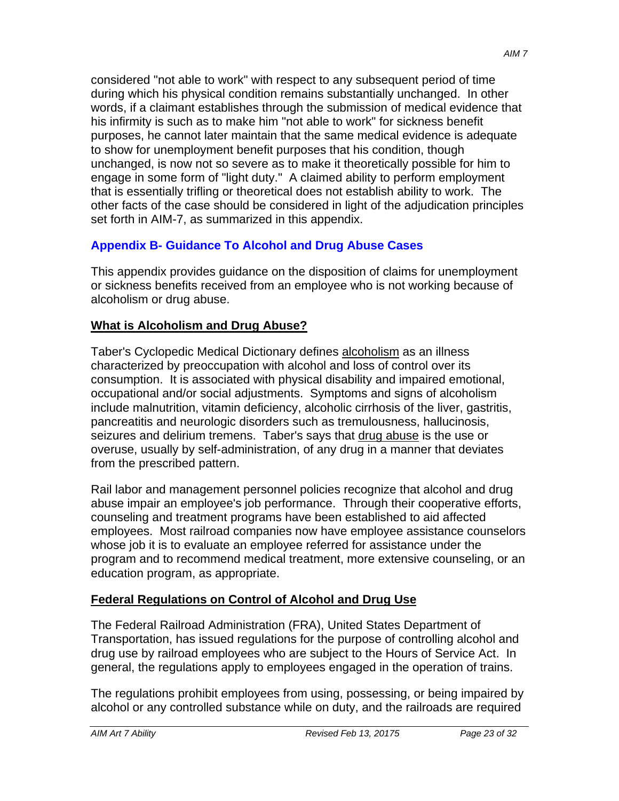considered "not able to work" with respect to any subsequent period of time during which his physical condition remains substantially unchanged. In other words, if a claimant establishes through the submission of medical evidence that his infirmity is such as to make him "not able to work" for sickness benefit purposes, he cannot later maintain that the same medical evidence is adequate to show for unemployment benefit purposes that his condition, though unchanged, is now not so severe as to make it theoretically possible for him to engage in some form of "light duty." A claimed ability to perform employment that is essentially trifling or theoretical does not establish ability to work. The other facts of the case should be considered in light of the adjudication principles set forth in AIM-7, as summarized in this appendix.

## **Appendix B- Guidance To Alcohol and Drug Abuse Cases**

This appendix provides guidance on the disposition of claims for unemployment or sickness benefits received from an employee who is not working because of alcoholism or drug abuse.

### **What is Alcoholism and Drug Abuse?**

Taber's Cyclopedic Medical Dictionary defines alcoholism as an illness characterized by preoccupation with alcohol and loss of control over its consumption. It is associated with physical disability and impaired emotional, occupational and/or social adjustments. Symptoms and signs of alcoholism include malnutrition, vitamin deficiency, alcoholic cirrhosis of the liver, gastritis, pancreatitis and neurologic disorders such as tremulousness, hallucinosis, seizures and delirium tremens. Taber's says that drug abuse is the use or overuse, usually by self-administration, of any drug in a manner that deviates from the prescribed pattern.

Rail labor and management personnel policies recognize that alcohol and drug abuse impair an employee's job performance. Through their cooperative efforts, counseling and treatment programs have been established to aid affected employees. Most railroad companies now have employee assistance counselors whose job it is to evaluate an employee referred for assistance under the program and to recommend medical treatment, more extensive counseling, or an education program, as appropriate.

### **Federal Regulations on Control of Alcohol and Drug Use**

The Federal Railroad Administration (FRA), United States Department of Transportation, has issued regulations for the purpose of controlling alcohol and drug use by railroad employees who are subject to the Hours of Service Act. In general, the regulations apply to employees engaged in the operation of trains.

The regulations prohibit employees from using, possessing, or being impaired by alcohol or any controlled substance while on duty, and the railroads are required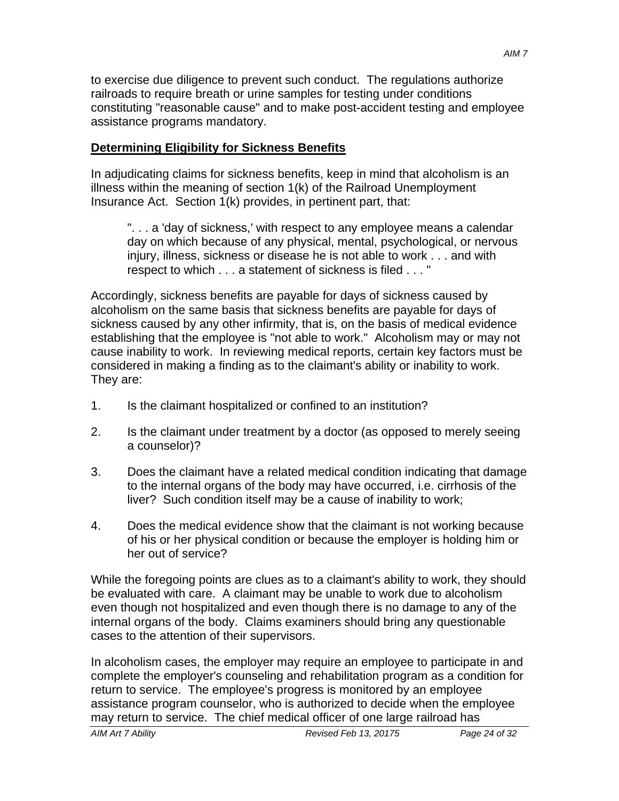to exercise due diligence to prevent such conduct. The regulations authorize railroads to require breath or urine samples for testing under conditions constituting "reasonable cause" and to make post-accident testing and employee assistance programs mandatory.

### **Determining Eligibility for Sickness Benefits**

In adjudicating claims for sickness benefits, keep in mind that alcoholism is an illness within the meaning of section 1(k) of the Railroad Unemployment Insurance Act. Section 1(k) provides, in pertinent part, that:

". . . a 'day of sickness,' with respect to any employee means a calendar day on which because of any physical, mental, psychological, or nervous injury, illness, sickness or disease he is not able to work . . . and with respect to which . . . a statement of sickness is filed . . . "

Accordingly, sickness benefits are payable for days of sickness caused by alcoholism on the same basis that sickness benefits are payable for days of sickness caused by any other infirmity, that is, on the basis of medical evidence establishing that the employee is "not able to work." Alcoholism may or may not cause inability to work. In reviewing medical reports, certain key factors must be considered in making a finding as to the claimant's ability or inability to work. They are:

- 1. Is the claimant hospitalized or confined to an institution?
- 2. Is the claimant under treatment by a doctor (as opposed to merely seeing a counselor)?
- 3. Does the claimant have a related medical condition indicating that damage to the internal organs of the body may have occurred, i.e. cirrhosis of the liver? Such condition itself may be a cause of inability to work;
- 4. Does the medical evidence show that the claimant is not working because of his or her physical condition or because the employer is holding him or her out of service?

While the foregoing points are clues as to a claimant's ability to work, they should be evaluated with care. A claimant may be unable to work due to alcoholism even though not hospitalized and even though there is no damage to any of the internal organs of the body. Claims examiners should bring any questionable cases to the attention of their supervisors.

In alcoholism cases, the employer may require an employee to participate in and complete the employer's counseling and rehabilitation program as a condition for return to service. The employee's progress is monitored by an employee assistance program counselor, who is authorized to decide when the employee may return to service. The chief medical officer of one large railroad has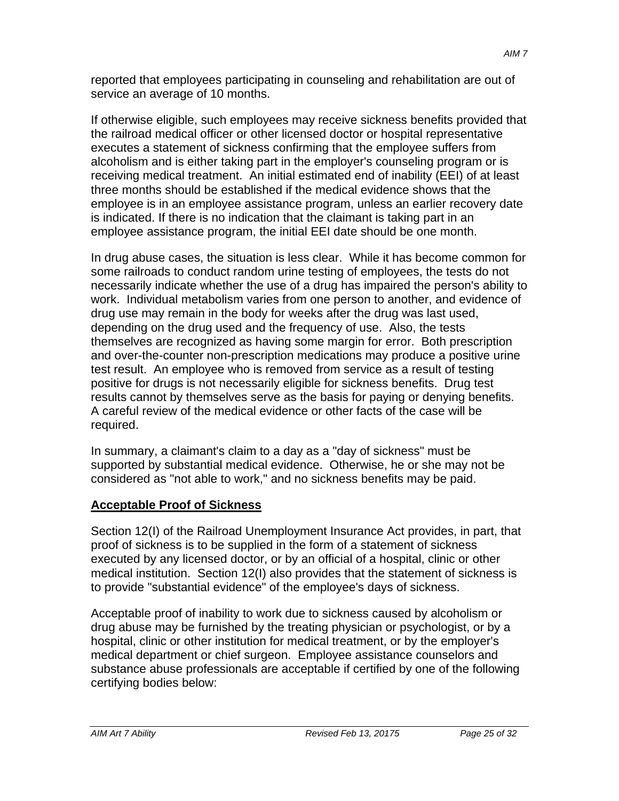reported that employees participating in counseling and rehabilitation are out of service an average of 10 months.

If otherwise eligible, such employees may receive sickness benefits provided that the railroad medical officer or other licensed doctor or hospital representative executes a statement of sickness confirming that the employee suffers from alcoholism and is either taking part in the employer's counseling program or is receiving medical treatment. An initial estimated end of inability (EEI) of at least three months should be established if the medical evidence shows that the employee is in an employee assistance program, unless an earlier recovery date is indicated. If there is no indication that the claimant is taking part in an employee assistance program, the initial EEI date should be one month.

In drug abuse cases, the situation is less clear. While it has become common for some railroads to conduct random urine testing of employees, the tests do not necessarily indicate whether the use of a drug has impaired the person's ability to work. Individual metabolism varies from one person to another, and evidence of drug use may remain in the body for weeks after the drug was last used, depending on the drug used and the frequency of use. Also, the tests themselves are recognized as having some margin for error. Both prescription and over-the-counter non-prescription medications may produce a positive urine test result. An employee who is removed from service as a result of testing positive for drugs is not necessarily eligible for sickness benefits. Drug test results cannot by themselves serve as the basis for paying or denying benefits. A careful review of the medical evidence or other facts of the case will be required.

In summary, a claimant's claim to a day as a "day of sickness" must be supported by substantial medical evidence. Otherwise, he or she may not be considered as "not able to work," and no sickness benefits may be paid.

# **Acceptable Proof of Sickness**

Section 12(I) of the Railroad Unemployment Insurance Act provides, in part, that proof of sickness is to be supplied in the form of a statement of sickness executed by any licensed doctor, or by an official of a hospital, clinic or other medical institution. Section 12(I) also provides that the statement of sickness is to provide "substantial evidence" of the employee's days of sickness.

Acceptable proof of inability to work due to sickness caused by alcoholism or drug abuse may be furnished by the treating physician or psychologist, or by a hospital, clinic or other institution for medical treatment, or by the employer's medical department or chief surgeon. Employee assistance counselors and substance abuse professionals are acceptable if certified by one of the following certifying bodies below: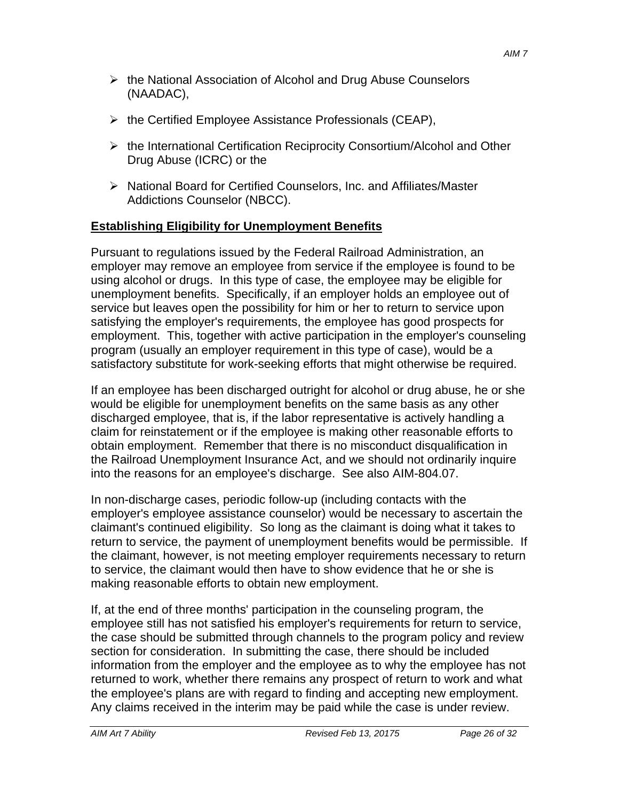- $\triangleright$  the National Association of Alcohol and Drug Abuse Counselors (NAADAC),
- $\triangleright$  the Certified Employee Assistance Professionals (CEAP),
- $\triangleright$  the International Certification Reciprocity Consortium/Alcohol and Other Drug Abuse (ICRC) or the
- ▶ National Board for Certified Counselors, Inc. and Affiliates/Master Addictions Counselor (NBCC).

### **Establishing Eligibility for Unemployment Benefits**

Pursuant to regulations issued by the Federal Railroad Administration, an employer may remove an employee from service if the employee is found to be using alcohol or drugs. In this type of case, the employee may be eligible for unemployment benefits. Specifically, if an employer holds an employee out of service but leaves open the possibility for him or her to return to service upon satisfying the employer's requirements, the employee has good prospects for employment. This, together with active participation in the employer's counseling program (usually an employer requirement in this type of case), would be a satisfactory substitute for work-seeking efforts that might otherwise be required.

If an employee has been discharged outright for alcohol or drug abuse, he or she would be eligible for unemployment benefits on the same basis as any other discharged employee, that is, if the labor representative is actively handling a claim for reinstatement or if the employee is making other reasonable efforts to obtain employment. Remember that there is no misconduct disqualification in the Railroad Unemployment Insurance Act, and we should not ordinarily inquire into the reasons for an employee's discharge. See also AIM-804.07.

In non-discharge cases, periodic follow-up (including contacts with the employer's employee assistance counselor) would be necessary to ascertain the claimant's continued eligibility. So long as the claimant is doing what it takes to return to service, the payment of unemployment benefits would be permissible. If the claimant, however, is not meeting employer requirements necessary to return to service, the claimant would then have to show evidence that he or she is making reasonable efforts to obtain new employment.

If, at the end of three months' participation in the counseling program, the employee still has not satisfied his employer's requirements for return to service, the case should be submitted through channels to the program policy and review section for consideration. In submitting the case, there should be included information from the employer and the employee as to why the employee has not returned to work, whether there remains any prospect of return to work and what the employee's plans are with regard to finding and accepting new employment. Any claims received in the interim may be paid while the case is under review.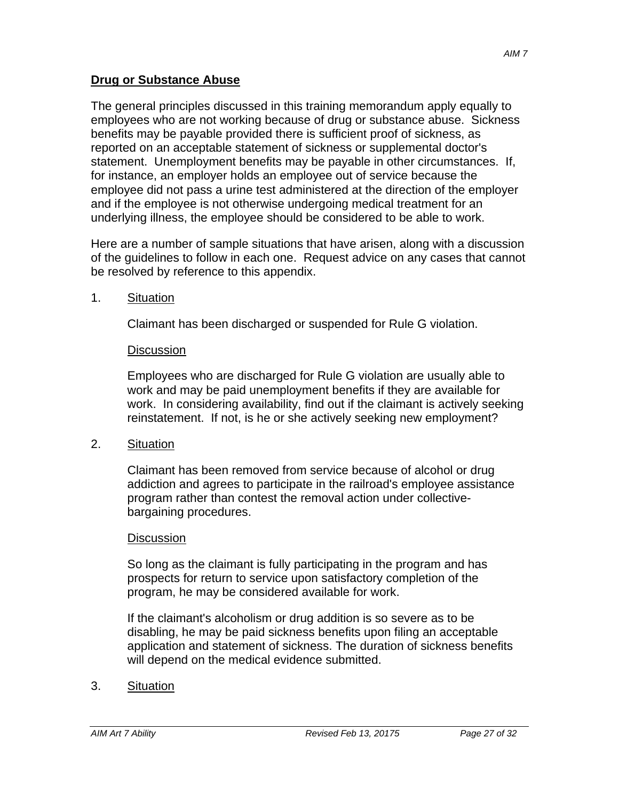The general principles discussed in this training memorandum apply equally to employees who are not working because of drug or substance abuse. Sickness benefits may be payable provided there is sufficient proof of sickness, as reported on an acceptable statement of sickness or supplemental doctor's statement. Unemployment benefits may be payable in other circumstances. If, for instance, an employer holds an employee out of service because the employee did not pass a urine test administered at the direction of the employer and if the employee is not otherwise undergoing medical treatment for an underlying illness, the employee should be considered to be able to work.

Here are a number of sample situations that have arisen, along with a discussion of the guidelines to follow in each one. Request advice on any cases that cannot be resolved by reference to this appendix.

1. Situation

Claimant has been discharged or suspended for Rule G violation.

# **Discussion**

Employees who are discharged for Rule G violation are usually able to work and may be paid unemployment benefits if they are available for work. In considering availability, find out if the claimant is actively seeking reinstatement. If not, is he or she actively seeking new employment?

2. Situation

Claimant has been removed from service because of alcohol or drug addiction and agrees to participate in the railroad's employee assistance program rather than contest the removal action under collectivebargaining procedures.

# **Discussion**

So long as the claimant is fully participating in the program and has prospects for return to service upon satisfactory completion of the program, he may be considered available for work.

If the claimant's alcoholism or drug addition is so severe as to be disabling, he may be paid sickness benefits upon filing an acceptable application and statement of sickness. The duration of sickness benefits will depend on the medical evidence submitted.

3. Situation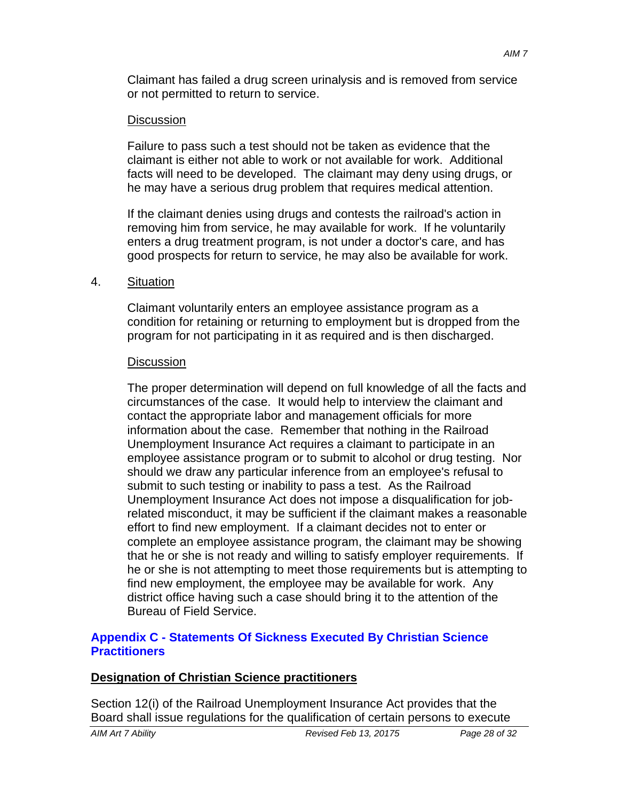Claimant has failed a drug screen urinalysis and is removed from service or not permitted to return to service.

#### Discussion

Failure to pass such a test should not be taken as evidence that the claimant is either not able to work or not available for work. Additional facts will need to be developed. The claimant may deny using drugs, or he may have a serious drug problem that requires medical attention.

If the claimant denies using drugs and contests the railroad's action in removing him from service, he may available for work. If he voluntarily enters a drug treatment program, is not under a doctor's care, and has good prospects for return to service, he may also be available for work.

#### 4. Situation

Claimant voluntarily enters an employee assistance program as a condition for retaining or returning to employment but is dropped from the program for not participating in it as required and is then discharged.

#### **Discussion**

The proper determination will depend on full knowledge of all the facts and circumstances of the case. It would help to interview the claimant and contact the appropriate labor and management officials for more information about the case. Remember that nothing in the Railroad Unemployment Insurance Act requires a claimant to participate in an employee assistance program or to submit to alcohol or drug testing. Nor should we draw any particular inference from an employee's refusal to submit to such testing or inability to pass a test. As the Railroad Unemployment Insurance Act does not impose a disqualification for jobrelated misconduct, it may be sufficient if the claimant makes a reasonable effort to find new employment. If a claimant decides not to enter or complete an employee assistance program, the claimant may be showing that he or she is not ready and willing to satisfy employer requirements. If he or she is not attempting to meet those requirements but is attempting to find new employment, the employee may be available for work. Any district office having such a case should bring it to the attention of the Bureau of Field Service.

#### **Appendix C - Statements Of Sickness Executed By Christian Science Practitioners**

#### **Designation of Christian Science practitioners**

Section 12(i) of the Railroad Unemployment Insurance Act provides that the Board shall issue regulations for the qualification of certain persons to execute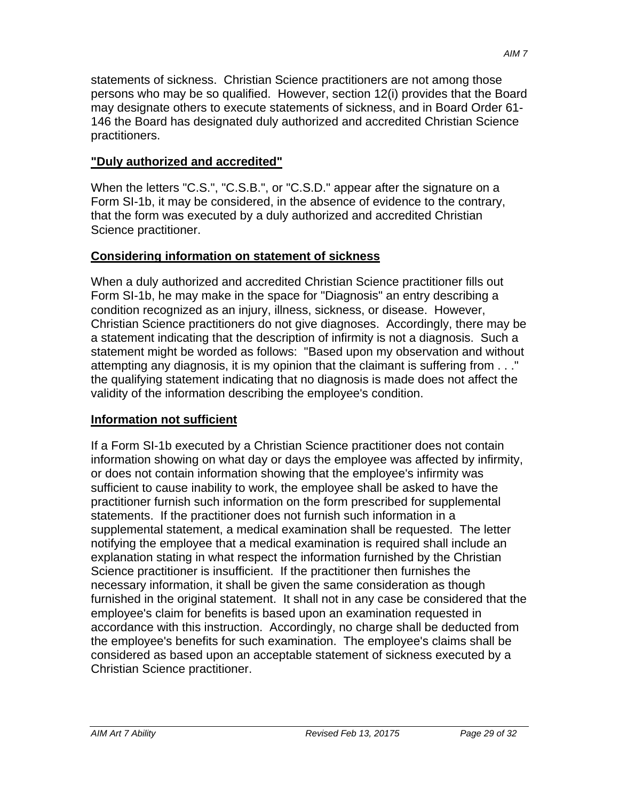statements of sickness. Christian Science practitioners are not among those persons who may be so qualified. However, section 12(i) provides that the Board may designate others to execute statements of sickness, and in Board Order 61- 146 the Board has designated duly authorized and accredited Christian Science practitioners.

## **"Duly authorized and accredited"**

When the letters "C.S.", "C.S.B.", or "C.S.D." appear after the signature on a Form SI-1b, it may be considered, in the absence of evidence to the contrary, that the form was executed by a duly authorized and accredited Christian Science practitioner.

# **Considering information on statement of sickness**

When a duly authorized and accredited Christian Science practitioner fills out Form SI-1b, he may make in the space for "Diagnosis" an entry describing a condition recognized as an injury, illness, sickness, or disease. However, Christian Science practitioners do not give diagnoses. Accordingly, there may be a statement indicating that the description of infirmity is not a diagnosis. Such a statement might be worded as follows: "Based upon my observation and without attempting any diagnosis, it is my opinion that the claimant is suffering from . . ." the qualifying statement indicating that no diagnosis is made does not affect the validity of the information describing the employee's condition.

# **Information not sufficient**

If a Form SI-1b executed by a Christian Science practitioner does not contain information showing on what day or days the employee was affected by infirmity, or does not contain information showing that the employee's infirmity was sufficient to cause inability to work, the employee shall be asked to have the practitioner furnish such information on the form prescribed for supplemental statements. If the practitioner does not furnish such information in a supplemental statement, a medical examination shall be requested. The letter notifying the employee that a medical examination is required shall include an explanation stating in what respect the information furnished by the Christian Science practitioner is insufficient. If the practitioner then furnishes the necessary information, it shall be given the same consideration as though furnished in the original statement. It shall not in any case be considered that the employee's claim for benefits is based upon an examination requested in accordance with this instruction. Accordingly, no charge shall be deducted from the employee's benefits for such examination. The employee's claims shall be considered as based upon an acceptable statement of sickness executed by a Christian Science practitioner.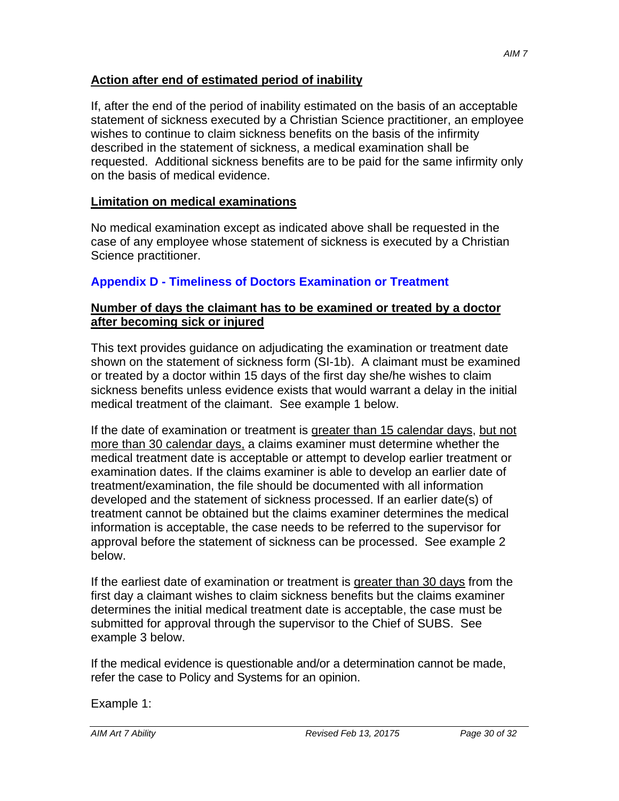#### **Action after end of estimated period of inability**

If, after the end of the period of inability estimated on the basis of an acceptable statement of sickness executed by a Christian Science practitioner, an employee wishes to continue to claim sickness benefits on the basis of the infirmity described in the statement of sickness, a medical examination shall be requested. Additional sickness benefits are to be paid for the same infirmity only on the basis of medical evidence.

#### **Limitation on medical examinations**

No medical examination except as indicated above shall be requested in the case of any employee whose statement of sickness is executed by a Christian Science practitioner.

#### **Appendix D - Timeliness of Doctors Examination or Treatment**

#### **Number of days the claimant has to be examined or treated by a doctor after becoming sick or injured**

This text provides guidance on adjudicating the examination or treatment date shown on the statement of sickness form (SI-1b). A claimant must be examined or treated by a doctor within 15 days of the first day she/he wishes to claim sickness benefits unless evidence exists that would warrant a delay in the initial medical treatment of the claimant. See example 1 below.

If the date of examination or treatment is greater than 15 calendar days, but not more than 30 calendar days, a claims examiner must determine whether the medical treatment date is acceptable or attempt to develop earlier treatment or examination dates. If the claims examiner is able to develop an earlier date of treatment/examination, the file should be documented with all information developed and the statement of sickness processed. If an earlier date(s) of treatment cannot be obtained but the claims examiner determines the medical information is acceptable, the case needs to be referred to the supervisor for approval before the statement of sickness can be processed. See example 2 below.

If the earliest date of examination or treatment is greater than 30 days from the first day a claimant wishes to claim sickness benefits but the claims examiner determines the initial medical treatment date is acceptable, the case must be submitted for approval through the supervisor to the Chief of SUBS. See example 3 below.

If the medical evidence is questionable and/or a determination cannot be made, refer the case to Policy and Systems for an opinion.

Example 1: